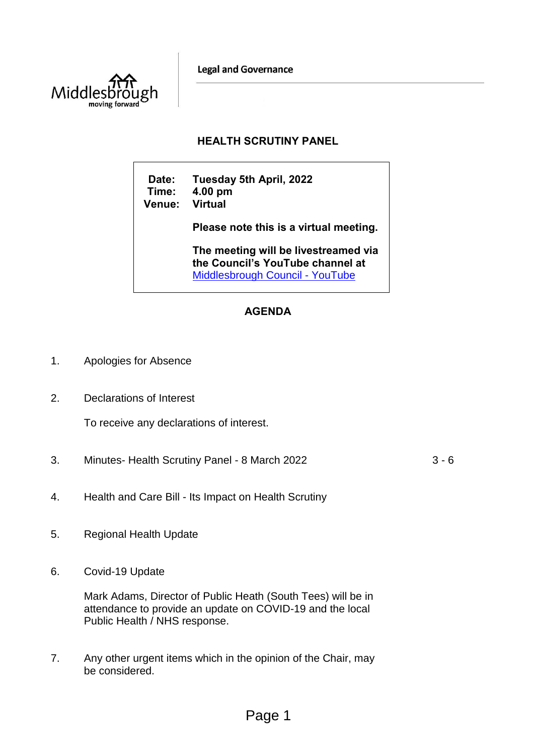**Legal and Governance** 



## **HEALTH SCRUTINY PANEL**

**Date: Tuesday 5th April, 2022 Time: 4.00 pm Venue: Virtual Please note this is a virtual meeting. The meeting will be livestreamed via** 

**the Council's YouTube channel at**  [Middlesbrough Council -](https://www.youtube.com/user/middlesbroughcouncil) YouTube

# **AGENDA**

- 1. Apologies for Absence
- 2. Declarations of Interest

To receive any declarations of interest.

3. Minutes- Health Scrutiny Panel - 8 March 2022 3 - 6

- 4. Health and Care Bill Its Impact on Health Scrutiny
- 5. Regional Health Update
- 6. Covid-19 Update

Mark Adams, Director of Public Heath (South Tees) will be in attendance to provide an update on COVID-19 and the local Public Health / NHS response.

7. Any other urgent items which in the opinion of the Chair, may be considered.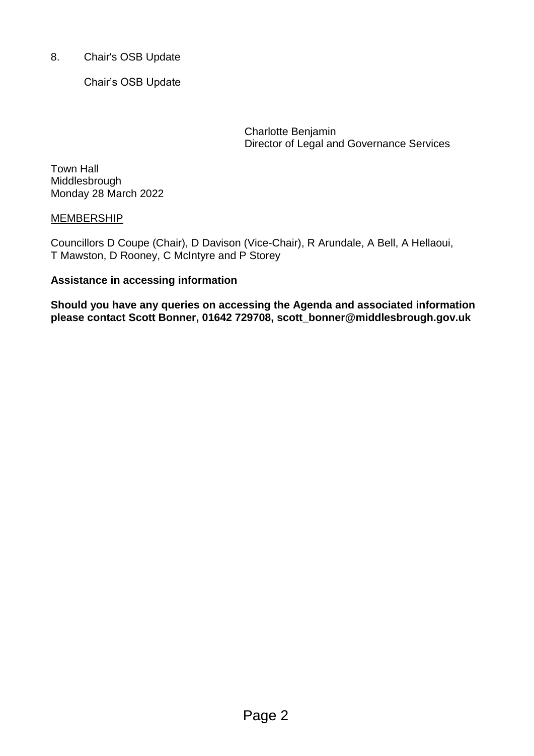8. Chair's OSB Update

Chair's OSB Update

Charlotte Benjamin Director of Legal and Governance Services

Town Hall Middlesbrough Monday 28 March 2022

## **MEMBERSHIP**

Councillors D Coupe (Chair), D Davison (Vice-Chair), R Arundale, A Bell, A Hellaoui, T Mawston, D Rooney, C McIntyre and P Storey

## **Assistance in accessing information**

**Should you have any queries on accessing the Agenda and associated information please contact Scott Bonner, 01642 729708, scott\_bonner@middlesbrough.gov.uk**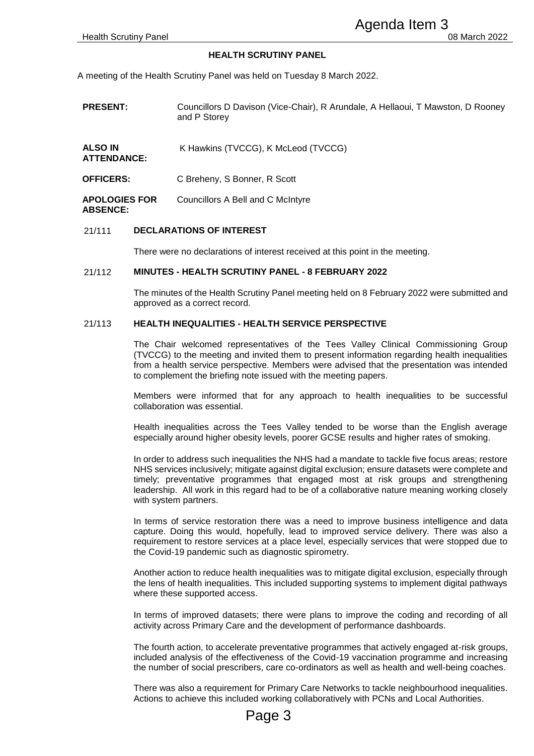#### **HEALTH SCRUTINY PANEL**

| <b>Health Scrutiny Panel</b>            |                                                          | Agenda Item 3<br>08 March 2022                                                                                                                                                                                                                                                                                                                                                                                       |
|-----------------------------------------|----------------------------------------------------------|----------------------------------------------------------------------------------------------------------------------------------------------------------------------------------------------------------------------------------------------------------------------------------------------------------------------------------------------------------------------------------------------------------------------|
|                                         |                                                          | <b>HEALTH SCRUTINY PANEL</b>                                                                                                                                                                                                                                                                                                                                                                                         |
|                                         |                                                          | meeting of the Health Scrutiny Panel was held on Tuesday 8 March 2022.                                                                                                                                                                                                                                                                                                                                               |
| <b>PRESENT:</b>                         |                                                          | Councillors D Davison (Vice-Chair), R Arundale, A Hellaoui, T Mawston, D Rooney<br>and P Storey                                                                                                                                                                                                                                                                                                                      |
| <b>ALSO IN</b><br><b>ATTENDANCE:</b>    |                                                          | K Hawkins (TVCCG), K McLeod (TVCCG)                                                                                                                                                                                                                                                                                                                                                                                  |
| <b>OFFICERS:</b>                        |                                                          | C Breheny, S Bonner, R Scott                                                                                                                                                                                                                                                                                                                                                                                         |
| <b>APOLOGIES FOR</b><br><b>ABSENCE:</b> |                                                          | Councillors A Bell and C McIntyre                                                                                                                                                                                                                                                                                                                                                                                    |
| 21/111                                  |                                                          | <b>DECLARATIONS OF INTEREST</b>                                                                                                                                                                                                                                                                                                                                                                                      |
|                                         |                                                          | There were no declarations of interest received at this point in the meeting.                                                                                                                                                                                                                                                                                                                                        |
| 21/112                                  | <b>MINUTES - HEALTH SCRUTINY PANEL - 8 FEBRUARY 2022</b> |                                                                                                                                                                                                                                                                                                                                                                                                                      |
|                                         |                                                          | The minutes of the Health Scrutiny Panel meeting held on 8 February 2022 were submitted and<br>approved as a correct record.                                                                                                                                                                                                                                                                                         |
| 21/113                                  |                                                          | <b>HEALTH INEQUALITIES - HEALTH SERVICE PERSPECTIVE</b>                                                                                                                                                                                                                                                                                                                                                              |
|                                         |                                                          | The Chair welcomed representatives of the Tees Valley Clinical Commissioning Group<br>(TVCCG) to the meeting and invited them to present information regarding health inequalities<br>from a health service perspective. Members were advised that the presentation was intended<br>to complement the briefing note issued with the meeting papers.                                                                  |
|                                         |                                                          | Members were informed that for any approach to health inequalities to be successful<br>collaboration was essential.                                                                                                                                                                                                                                                                                                  |
|                                         |                                                          | Health inequalities across the Tees Valley tended to be worse than the English average<br>especially around higher obesity levels, poorer GCSE results and higher rates of smoking.                                                                                                                                                                                                                                  |
|                                         |                                                          | In order to address such inequalities the NHS had a mandate to tackle five focus areas; restore<br>NHS services inclusively; mitigate against digital exclusion; ensure datasets were complete and<br>timely; preventative programmes that engaged most at risk groups and strengthening<br>leadership. All work in this regard had to be of a collaborative nature meaning working closely<br>with system partners. |
|                                         |                                                          | In terms of service restoration there was a need to improve business intelligence and data<br>capture. Doing this would, hopefully, lead to improved service delivery. There was also a<br>requirement to restore services at a place level, especially services that were stopped due to<br>the Covid-19 pandemic such as diagnostic spirometry.                                                                    |
|                                         |                                                          | Another action to reduce health inequalities was to mitigate digital exclusion, especially through<br>the lens of health inequalities. This included supporting systems to implement digital pathways<br>where these supported access.                                                                                                                                                                               |
|                                         |                                                          | In terms of improved datasets; there were plans to improve the coding and recording of all<br>activity across Primary Care and the development of performance dashboards.                                                                                                                                                                                                                                            |
|                                         |                                                          | The fourth action, to accelerate preventative programmes that actively engaged at-risk groups,<br>included analysis of the effectiveness of the Covid-19 vaccination programme and increasing<br>the number of social prescribers, care co-ordinators as well as health and well-being coaches.                                                                                                                      |
|                                         |                                                          | There was also a requirement for Primary Care Networks to tackle neighbourhood inequalities.<br>Actions to achieve this included working collaboratively with PCNs and Local Authorities.<br>Page 3                                                                                                                                                                                                                  |

#### 21/111 **DECLARATIONS OF INTEREST**

#### 21/112 **MINUTES - HEALTH SCRUTINY PANEL - 8 FEBRUARY 2022**

#### 21/113 **HEALTH INEQUALITIES - HEALTH SERVICE PERSPECTIVE**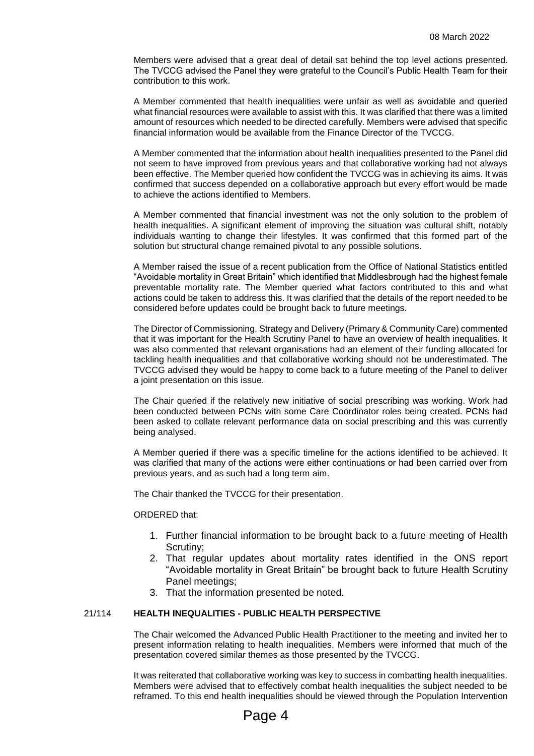Members were advised that a great deal of detail sat behind the top level actions presented. The TVCCG advised the Panel they were grateful to the Council's Public Health Team for their contribution to this work.

A Member commented that health inequalities were unfair as well as avoidable and queried what financial resources were available to assist with this. It was clarified that there was a limited amount of resources which needed to be directed carefully. Members were advised that specific financial information would be available from the Finance Director of the TVCCG.

A Member commented that the information about health inequalities presented to the Panel did not seem to have improved from previous years and that collaborative working had not always been effective. The Member queried how confident the TVCCG was in achieving its aims. It was confirmed that success depended on a collaborative approach but every effort would be made to achieve the actions identified to Members.

A Member commented that financial investment was not the only solution to the problem of health inequalities. A significant element of improving the situation was cultural shift, notably individuals wanting to change their lifestyles. It was confirmed that this formed part of the solution but structural change remained pivotal to any possible solutions.

A Member raised the issue of a recent publication from the Office of National Statistics entitled "Avoidable mortality in Great Britain" which identified that Middlesbrough had the highest female preventable mortality rate. The Member queried what factors contributed to this and what actions could be taken to address this. It was clarified that the details of the report needed to be considered before updates could be brought back to future meetings.

The Director of Commissioning, Strategy and Delivery (Primary & Community Care) commented that it was important for the Health Scrutiny Panel to have an overview of health inequalities. It was also commented that relevant organisations had an element of their funding allocated for tackling health inequalities and that collaborative working should not be underestimated. The TVCCG advised they would be happy to come back to a future meeting of the Panel to deliver a joint presentation on this issue.

The Chair queried if the relatively new initiative of social prescribing was working. Work had been conducted between PCNs with some Care Coordinator roles being created. PCNs had been asked to collate relevant performance data on social prescribing and this was currently being analysed.

A Member queried if there was a specific timeline for the actions identified to be achieved. It was clarified that many of the actions were either continuations or had been carried over from previous years, and as such had a long term aim.

The Chair thanked the TVCCG for their presentation.

#### ORDERED that:

- 1. Further financial information to be brought back to a future meeting of Health Scrutiny;
- 2. That regular updates about mortality rates identified in the ONS report "Avoidable mortality in Great Britain" be brought back to future Health Scrutiny Panel meetings;
- 3. That the information presented be noted.

### 21/114 **HEALTH INEQUALITIES - PUBLIC HEALTH PERSPECTIVE**

The Chair welcomed the Advanced Public Health Practitioner to the meeting and invited her to present information relating to health inequalities. Members were informed that much of the presentation covered similar themes as those presented by the TVCCG.

It was reiterated that collaborative working was key to success in combatting health inequalities. Members were advised that to effectively combat health inequalities the subject needed to be reframed. To this end health inequalities should be viewed through the Population Intervention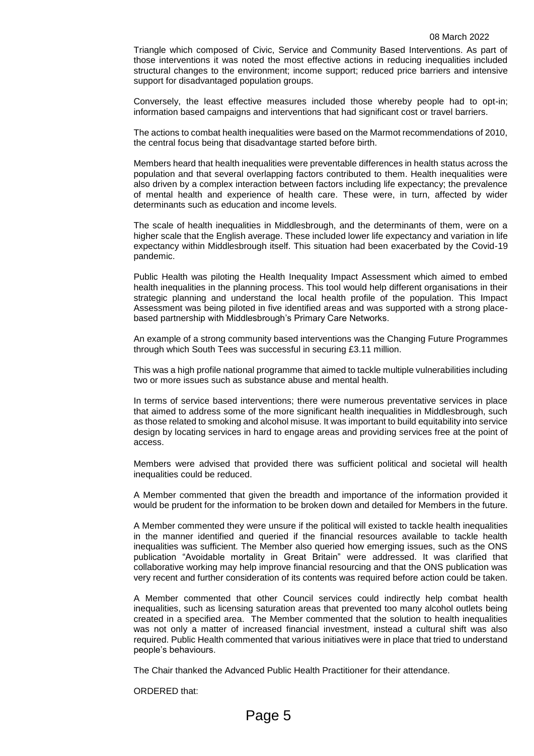Triangle which composed of Civic, Service and Community Based Interventions. As part of those interventions it was noted the most effective actions in reducing inequalities included structural changes to the environment; income support; reduced price barriers and intensive support for disadvantaged population groups.

Conversely, the least effective measures included those whereby people had to opt-in; information based campaigns and interventions that had significant cost or travel barriers.

The actions to combat health inequalities were based on the Marmot recommendations of 2010, the central focus being that disadvantage started before birth.

Members heard that health inequalities were preventable differences in health status across the population and that several overlapping factors contributed to them. Health inequalities were also driven by a complex interaction between factors including life expectancy; the prevalence of mental health and experience of health care. These were, in turn, affected by wider determinants such as education and income levels.

The scale of health inequalities in Middlesbrough, and the determinants of them, were on a higher scale that the English average. These included lower life expectancy and variation in life expectancy within Middlesbrough itself. This situation had been exacerbated by the Covid-19 pandemic.

Public Health was piloting the Health Inequality Impact Assessment which aimed to embed health inequalities in the planning process. This tool would help different organisations in their strategic planning and understand the local health profile of the population. This Impact Assessment was being piloted in five identified areas and was supported with a strong placebased partnership with Middlesbrough's Primary Care Networks.

An example of a strong community based interventions was the Changing Future Programmes through which South Tees was successful in securing £3.11 million.

This was a high profile national programme that aimed to tackle multiple vulnerabilities including two or more issues such as substance abuse and mental health.

In terms of service based interventions; there were numerous preventative services in place that aimed to address some of the more significant health inequalities in Middlesbrough, such as those related to smoking and alcohol misuse. It was important to build equitability into service design by locating services in hard to engage areas and providing services free at the point of access.

Members were advised that provided there was sufficient political and societal will health inequalities could be reduced.

A Member commented that given the breadth and importance of the information provided it would be prudent for the information to be broken down and detailed for Members in the future.

A Member commented they were unsure if the political will existed to tackle health inequalities in the manner identified and queried if the financial resources available to tackle health inequalities was sufficient. The Member also queried how emerging issues, such as the ONS publication "Avoidable mortality in Great Britain" were addressed. It was clarified that collaborative working may help improve financial resourcing and that the ONS publication was very recent and further consideration of its contents was required before action could be taken.

A Member commented that other Council services could indirectly help combat health inequalities, such as licensing saturation areas that prevented too many alcohol outlets being created in a specified area. The Member commented that the solution to health inequalities was not only a matter of increased financial investment, instead a cultural shift was also required. Public Health commented that various initiatives were in place that tried to understand people's behaviours.

The Chair thanked the Advanced Public Health Practitioner for their attendance.

ORDERED that: